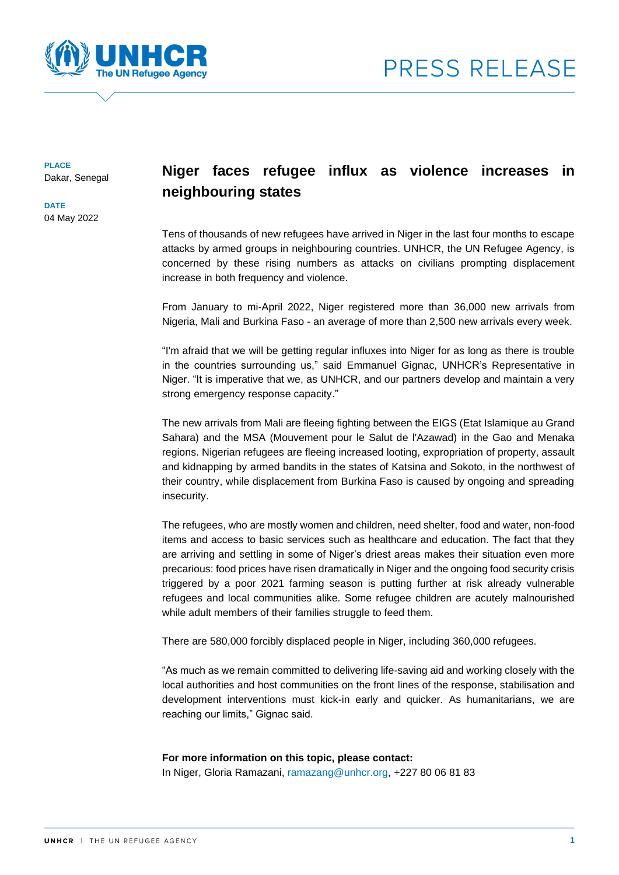



**PLACE** Dakar, Senegal

**DATE** 04 May 2022

## **Niger faces refugee influx as violence increases in neighbouring states**

Tens of thousands of new refugees have arrived in Niger in the last four months to escape attacks by armed groups in neighbouring countries. UNHCR, the UN Refugee Agency, is concerned by these rising numbers as attacks on civilians prompting displacement increase in both frequency and violence.

From January to mi-April 2022, Niger registered more than 36,000 new arrivals from Nigeria, Mali and Burkina Faso - an average of more than 2,500 new arrivals every week.

"I'm afraid that we will be getting regular influxes into Niger for as long as there is trouble in the countries surrounding us," said Emmanuel Gignac, UNHCR's Representative in Niger. "It is imperative that we, as UNHCR, and our partners develop and maintain a very strong emergency response capacity."

The new arrivals from Mali are fleeing fighting between the EIGS (Etat Islamique au Grand Sahara) and the MSA (Mouvement pour le Salut de l'Azawad) in the Gao and Menaka regions. Nigerian refugees are fleeing increased looting, expropriation of property, assault and kidnapping by armed bandits in the states of Katsina and Sokoto, in the northwest of their country, while displacement from Burkina Faso is caused by ongoing and spreading insecurity.

The refugees, who are mostly women and children, need shelter, food and water, non-food items and access to basic services such as healthcare and education. The fact that they are arriving and settling in some of Niger's driest areas makes their situation even more precarious: food prices have risen dramatically in Niger and the ongoing food security crisis triggered by a poor 2021 farming season is putting further at risk already vulnerable refugees and local communities alike. Some refugee children are acutely malnourished while adult members of their families struggle to feed them.

There are 580,000 forcibly displaced people in Niger, including 360,000 refugees.

"As much as we remain committed to delivering life-saving aid and working closely with the local authorities and host communities on the front lines of the response, stabilisation and development interventions must kick-in early and quicker. As humanitarians, we are reaching our limits," Gignac said.

## **For more information on this topic, please contact:**

In Niger, Gloria Ramazani, [ramazang@unhcr.org,](mailto:ramazang@unhcr.org) +227 80 06 81 83